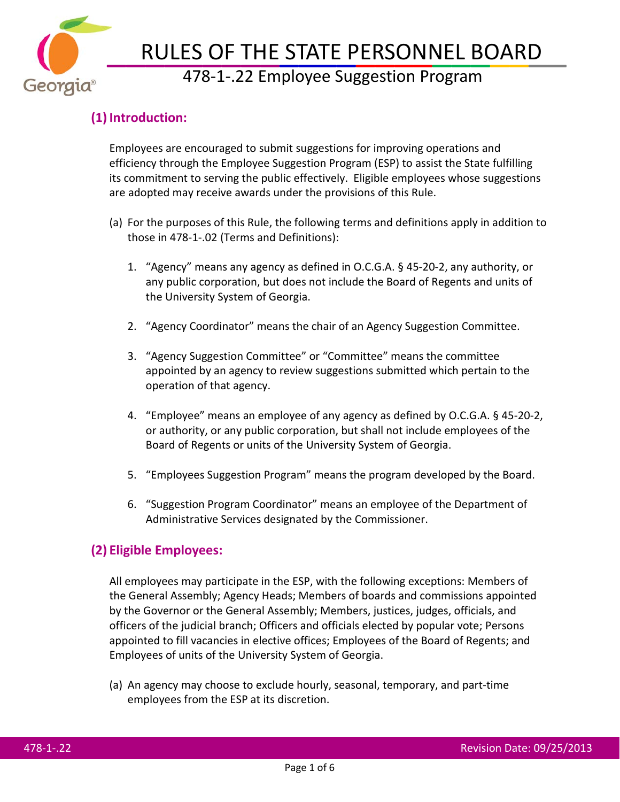

# RULES OF THE STATE PERSONNEL BOARD<br>478-1-.22 Employee Suggestion Program

## **(1) Introduction:**

Employees are encouraged to submit suggestions for improving operations and efficiency through the Employee Suggestion Program (ESP) to assist the State fulfilling its commitment to serving the public effectively. Eligible employees whose suggestions are adopted may receive awards under the provisions of this Rule.

- (a) For the purposes of this Rule, the following terms and definitions apply in addition to those in 478-1-.02 (Terms and Definitions):
	- 1. "Agency" means any agency as defined in O.C.G.A. § 45-20-2, any authority, or any public corporation, but does not include the Board of Regents and units of the University System of Georgia.
	- 2. "Agency Coordinator" means the chair of an Agency Suggestion Committee.
	- 3. "Agency Suggestion Committee" or "Committee" means the committee appointed by an agency to review suggestions submitted which pertain to the operation of that agency.
	- 4. "Employee" means an employee of any agency as defined by O.C.G.A. § 45-20-2, or authority, or any public corporation, but shall not include employees of the Board of Regents or units of the University System of Georgia.
	- 5. "Employees Suggestion Program" means the program developed by the Board.
	- 6. "Suggestion Program Coordinator" means an employee of the Department of Administrative Services designated by the Commissioner.

### **(2) Eligible Employees:**

All employees may participate in the ESP, with the following exceptions: Members of the General Assembly; Agency Heads; Members of boards and commissions appointed by the Governor or the General Assembly; Members, justices, judges, officials, and officers of the judicial branch; Officers and officials elected by popular vote; Persons appointed to fill vacancies in elective offices; Employees of the Board of Regents; and Employees of units of the University System of Georgia.

(a) An agency may choose to exclude hourly, seasonal, temporary, and part-time employees from the ESP at its discretion.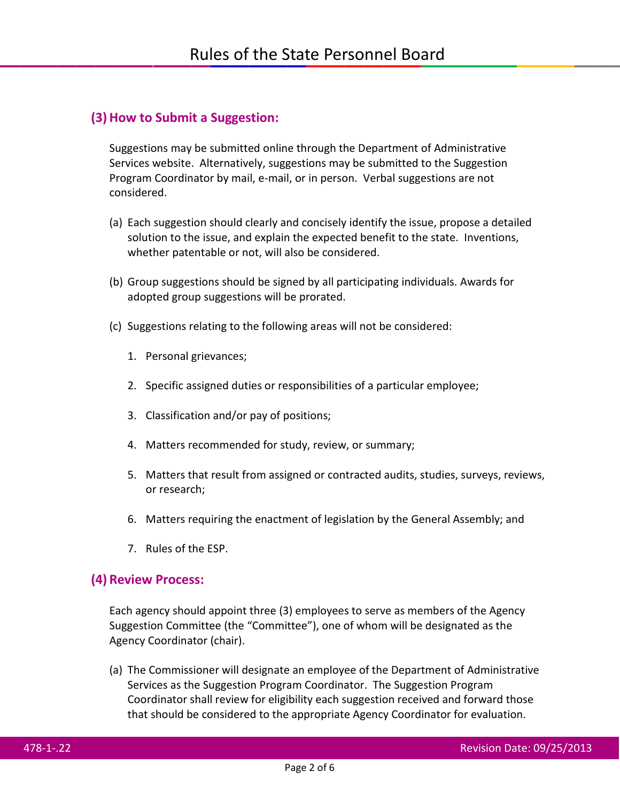#### **(3)How to Submit a Suggestion:**

Suggestions may be submitted online through the Department of Administrative Services website. Alternatively, suggestions may be submitted to the Suggestion Program Coordinator by mail, e-mail, or in person. Verbal suggestions are not considered.

- (a) Each suggestion should clearly and concisely identify the issue, propose a detailed solution to the issue, and explain the expected benefit to the state. Inventions, whether patentable or not, will also be considered.
- (b) Group suggestions should be signed by all participating individuals. Awards for adopted group suggestions will be prorated.
- (c) Suggestions relating to the following areas will not be considered:
	- 1. Personal grievances;
	- 2. Specific assigned duties or responsibilities of a particular employee;
	- 3. Classification and/or pay of positions;
	- 4. Matters recommended for study, review, or summary;
	- 5. Matters that result from assigned or contracted audits, studies, surveys, reviews, or research;
	- 6. Matters requiring the enactment of legislation by the General Assembly; and
	- 7. Rules of the ESP.

#### **(4) Review Process:**

Each agency should appoint three (3) employees to serve as members of the Agency Suggestion Committee (the "Committee"), one of whom will be designated as the Agency Coordinator (chair).

(a) The Commissioner will designate an employee of the Department of Administrative Services as the Suggestion Program Coordinator. The Suggestion Program Coordinator shall review for eligibility each suggestion received and forward those that should be considered to the appropriate Agency Coordinator for evaluation.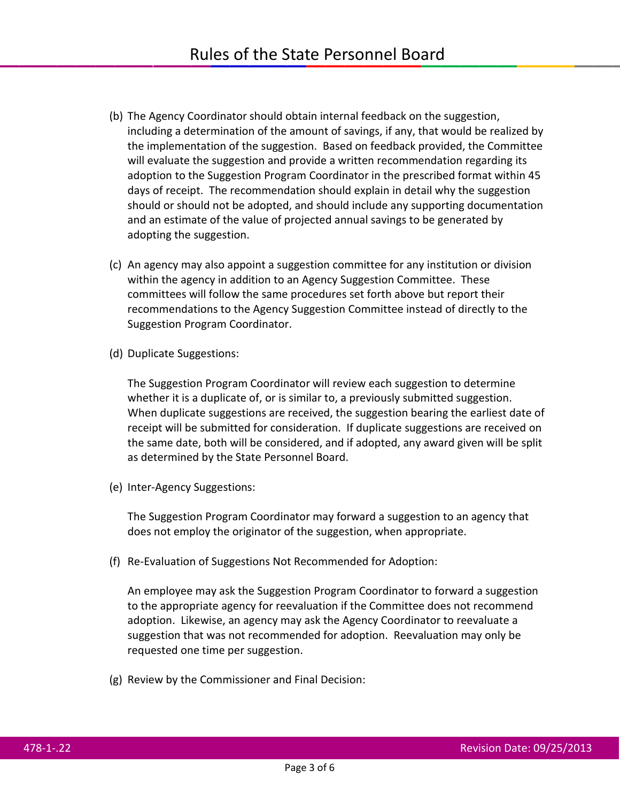- (b) The Agency Coordinator should obtain internal feedback on the suggestion, including a determination of the amount of savings, if any, that would be realized by the implementation of the suggestion. Based on feedback provided, the Committee will evaluate the suggestion and provide a written recommendation regarding its adoption to the Suggestion Program Coordinator in the prescribed format within 45 days of receipt. The recommendation should explain in detail why the suggestion should or should not be adopted, and should include any supporting documentation and an estimate of the value of projected annual savings to be generated by adopting the suggestion.
- (c) An agency may also appoint a suggestion committee for any institution or division within the agency in addition to an Agency Suggestion Committee. These committees will follow the same procedures set forth above but report their recommendations to the Agency Suggestion Committee instead of directly to the Suggestion Program Coordinator.
- (d) Duplicate Suggestions:

The Suggestion Program Coordinator will review each suggestion to determine whether it is a duplicate of, or is similar to, a previously submitted suggestion. When duplicate suggestions are received, the suggestion bearing the earliest date of receipt will be submitted for consideration. If duplicate suggestions are received on the same date, both will be considered, and if adopted, any award given will be split as determined by the State Personnel Board.

(e) Inter-Agency Suggestions:

The Suggestion Program Coordinator may forward a suggestion to an agency that does not employ the originator of the suggestion, when appropriate.

(f) Re-Evaluation of Suggestions Not Recommended for Adoption:

An employee may ask the Suggestion Program Coordinator to forward a suggestion to the appropriate agency for reevaluation if the Committee does not recommend adoption. Likewise, an agency may ask the Agency Coordinator to reevaluate a suggestion that was not recommended for adoption. Reevaluation may only be requested one time per suggestion.

(g) Review by the Commissioner and Final Decision: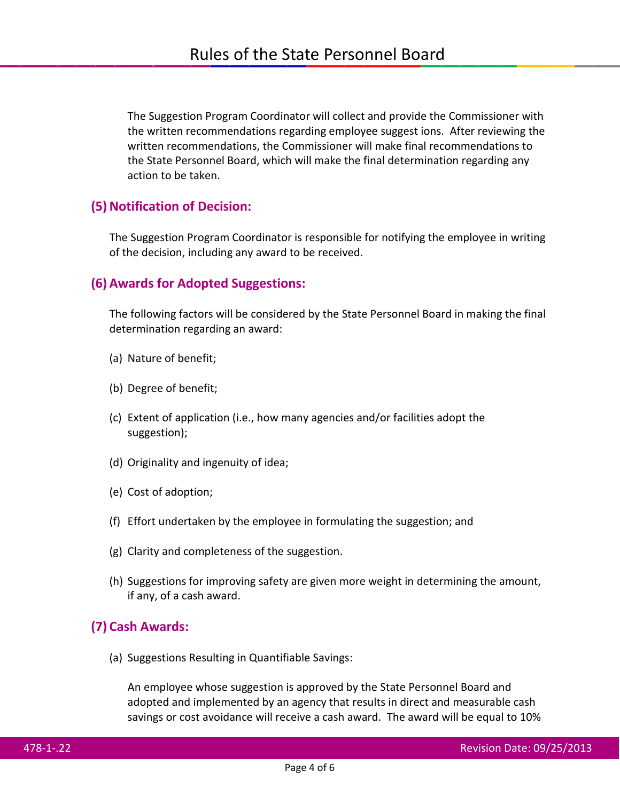The Suggestion Program Coordinator will collect and provide the Commissioner with the written recommendations regarding employee suggest ions. After reviewing the written recommendations, the Commissioner will make final recommendations to the State Personnel Board, which will make the final determination regarding any action to be taken.

#### **(5)Notification of Decision:**

The Suggestion Program Coordinator is responsible for notifying the employee in writing of the decision, including any award to be received.

#### **(6) Awards for Adopted Suggestions:**

The following factors will be considered by the State Personnel Board in making the final determination regarding an award:

- (a) Nature of benefit;
- (b) Degree of benefit;
- (c) Extent of application (i.e., how many agencies and/or facilities adopt the suggestion);
- (d) Originality and ingenuity of idea;
- (e) Cost of adoption;
- (f) Effort undertaken by the employee in formulating the suggestion; and
- (g) Clarity and completeness of the suggestion.
- (h) Suggestions for improving safety are given more weight in determining the amount, if any, of a cash award.

#### **(7) Cash Awards:**

(a) Suggestions Resulting in Quantifiable Savings:

An employee whose suggestion is approved by the State Personnel Board and adopted and implemented by an agency that results in direct and measurable cash savings or cost avoidance will receive a cash award. The award will be equal to 10%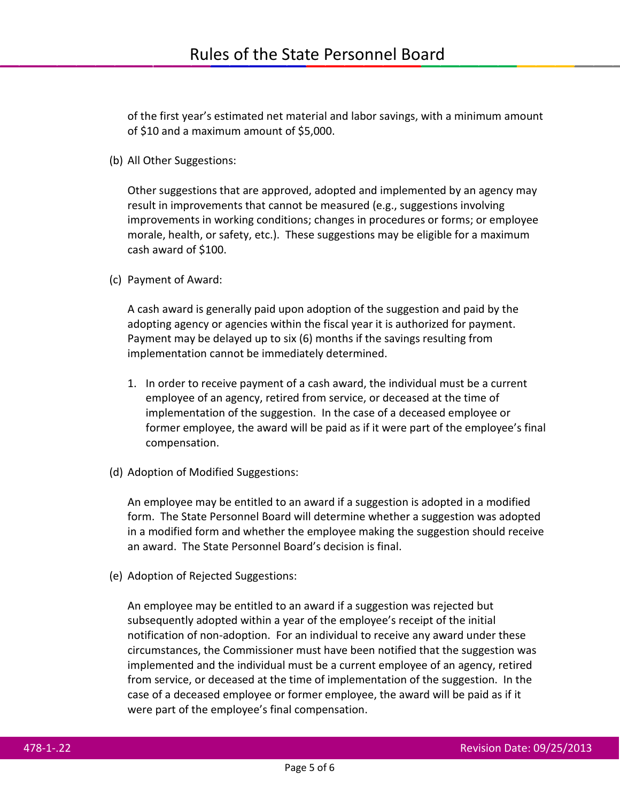of the first year's estimated net material and labor savings, with a minimum amount of \$10 and a maximum amount of \$5,000.

(b) All Other Suggestions:

Other suggestions that are approved, adopted and implemented by an agency may result in improvements that cannot be measured (e.g., suggestions involving improvements in working conditions; changes in procedures or forms; or employee morale, health, or safety, etc.). These suggestions may be eligible for a maximum cash award of \$100.

(c) Payment of Award:

A cash award is generally paid upon adoption of the suggestion and paid by the adopting agency or agencies within the fiscal year it is authorized for payment. Payment may be delayed up to six (6) months if the savings resulting from implementation cannot be immediately determined.

- 1. In order to receive payment of a cash award, the individual must be a current employee of an agency, retired from service, or deceased at the time of implementation of the suggestion. In the case of a deceased employee or former employee, the award will be paid as if it were part of the employee's final compensation.
- (d) Adoption of Modified Suggestions:

An employee may be entitled to an award if a suggestion is adopted in a modified form. The State Personnel Board will determine whether a suggestion was adopted in a modified form and whether the employee making the suggestion should receive an award. The State Personnel Board's decision is final.

(e) Adoption of Rejected Suggestions:

An employee may be entitled to an award if a suggestion was rejected but subsequently adopted within a year of the employee's receipt of the initial notification of non-adoption. For an individual to receive any award under these circumstances, the Commissioner must have been notified that the suggestion was implemented and the individual must be a current employee of an agency, retired from service, or deceased at the time of implementation of the suggestion. In the case of a deceased employee or former employee, the award will be paid as if it were part of the employee's final compensation.